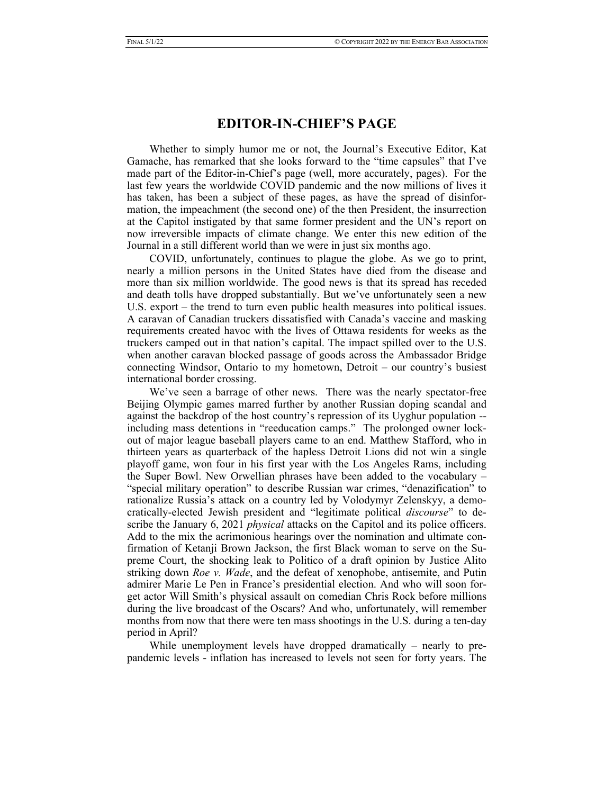## **EDITOR-IN-CHIEF'S PAGE**

Whether to simply humor me or not, the Journal's Executive Editor, Kat Gamache, has remarked that she looks forward to the "time capsules" that I've made part of the Editor-in-Chief's page (well, more accurately, pages). For the last few years the worldwide COVID pandemic and the now millions of lives it has taken, has been a subject of these pages, as have the spread of disinformation, the impeachment (the second one) of the then President, the insurrection at the Capitol instigated by that same former president and the UN's report on now irreversible impacts of climate change. We enter this new edition of the Journal in a still different world than we were in just six months ago.

COVID, unfortunately, continues to plague the globe. As we go to print, nearly a million persons in the United States have died from the disease and more than six million worldwide. The good news is that its spread has receded and death tolls have dropped substantially. But we've unfortunately seen a new U.S. export – the trend to turn even public health measures into political issues. A caravan of Canadian truckers dissatisfied with Canada's vaccine and masking requirements created havoc with the lives of Ottawa residents for weeks as the truckers camped out in that nation's capital. The impact spilled over to the U.S. when another caravan blocked passage of goods across the Ambassador Bridge connecting Windsor, Ontario to my hometown, Detroit – our country's busiest international border crossing.

We've seen a barrage of other news. There was the nearly spectator-free Beijing Olympic games marred further by another Russian doping scandal and against the backdrop of the host country's repression of its Uyghur population - including mass detentions in "reeducation camps." The prolonged owner lockout of major league baseball players came to an end. Matthew Stafford, who in thirteen years as quarterback of the hapless Detroit Lions did not win a single playoff game, won four in his first year with the Los Angeles Rams, including the Super Bowl. New Orwellian phrases have been added to the vocabulary – "special military operation" to describe Russian war crimes, "denazification" to rationalize Russia's attack on a country led by Volodymyr Zelenskyy, a democratically-elected Jewish president and "legitimate political *discourse*" to describe the January 6, 2021 *physical* attacks on the Capitol and its police officers. Add to the mix the acrimonious hearings over the nomination and ultimate confirmation of Ketanji Brown Jackson, the first Black woman to serve on the Supreme Court, the shocking leak to Politico of a draft opinion by Justice Alito striking down *Roe v. Wade*, and the defeat of xenophobe, antisemite, and Putin admirer Marie Le Pen in France's presidential election. And who will soon forget actor Will Smith's physical assault on comedian Chris Rock before millions during the live broadcast of the Oscars? And who, unfortunately, will remember months from now that there were ten mass shootings in the U.S. during a ten-day period in April?

While unemployment levels have dropped dramatically – nearly to prepandemic levels - inflation has increased to levels not seen for forty years. The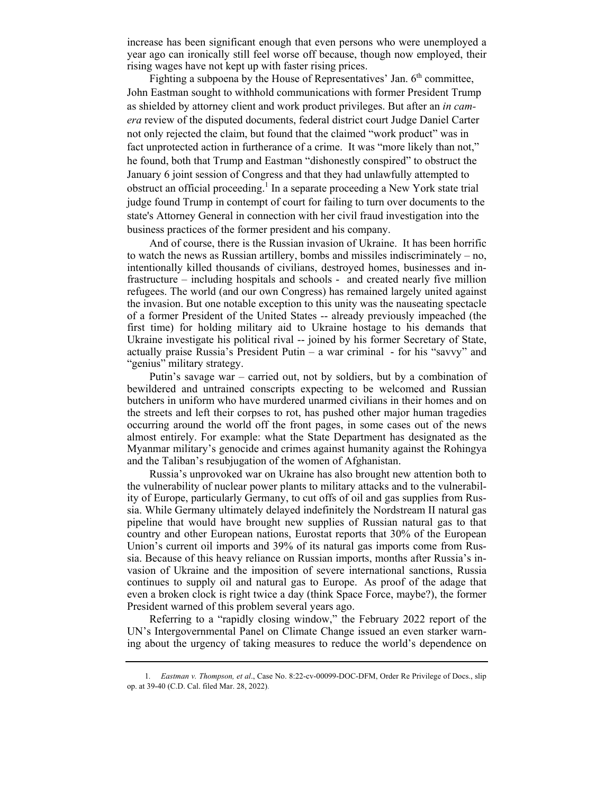increase has been significant enough that even persons who were unemployed a year ago can ironically still feel worse off because, though now employed, their rising wages have not kept up with faster rising prices.

Fighting a subpoena by the House of Representatives' Jan.  $6<sup>th</sup>$  committee, John Eastman sought to withhold communications with former President Trump as shielded by attorney client and work product privileges. But after an *in camera* review of the disputed documents, federal district court Judge Daniel Carter not only rejected the claim, but found that the claimed "work product" was in fact unprotected action in furtherance of a crime. It was "more likely than not," he found, both that Trump and Eastman "dishonestly conspired" to obstruct the January 6 joint session of Congress and that they had unlawfully attempted to obstruct an official proceeding.<sup>1</sup> In a separate proceeding a New York state trial judge found Trump in contempt of court for failing to turn over documents to the state's Attorney General in connection with her civil fraud investigation into the business practices of the former president and his company.

And of course, there is the Russian invasion of Ukraine. It has been horrific to watch the news as Russian artillery, bombs and missiles indiscriminately – no, intentionally killed thousands of civilians, destroyed homes, businesses and infrastructure – including hospitals and schools - and created nearly five million refugees. The world (and our own Congress) has remained largely united against the invasion. But one notable exception to this unity was the nauseating spectacle of a former President of the United States -- already previously impeached (the first time) for holding military aid to Ukraine hostage to his demands that Ukraine investigate his political rival -- joined by his former Secretary of State, actually praise Russia's President Putin – a war criminal - for his "savvy" and "genius" military strategy.

Putin's savage war – carried out, not by soldiers, but by a combination of bewildered and untrained conscripts expecting to be welcomed and Russian butchers in uniform who have murdered unarmed civilians in their homes and on the streets and left their corpses to rot, has pushed other major human tragedies occurring around the world off the front pages, in some cases out of the news almost entirely. For example: what the State Department has designated as the Myanmar military's genocide and crimes against humanity against the Rohingya and the Taliban's resubjugation of the women of Afghanistan.

Russia's unprovoked war on Ukraine has also brought new attention both to the vulnerability of nuclear power plants to military attacks and to the vulnerability of Europe, particularly Germany, to cut offs of oil and gas supplies from Russia. While Germany ultimately delayed indefinitely the Nordstream II natural gas pipeline that would have brought new supplies of Russian natural gas to that country and other European nations, Eurostat reports that 30% of the European Union's current oil imports and 39% of its natural gas imports come from Russia. Because of this heavy reliance on Russian imports, months after Russia's invasion of Ukraine and the imposition of severe international sanctions, Russia continues to supply oil and natural gas to Europe. As proof of the adage that even a broken clock is right twice a day (think Space Force, maybe?), the former President warned of this problem several years ago.

Referring to a "rapidly closing window," the February 2022 report of the UN's Intergovernmental Panel on Climate Change issued an even starker warning about the urgency of taking measures to reduce the world's dependence on

<sup>1</sup>*. Eastman v. Thompson, et al*., Case No. 8:22-cv-00099-DOC-DFM, Order Re Privilege of Docs., slip op. at 39-40 (C.D. Cal. filed Mar. 28, 2022).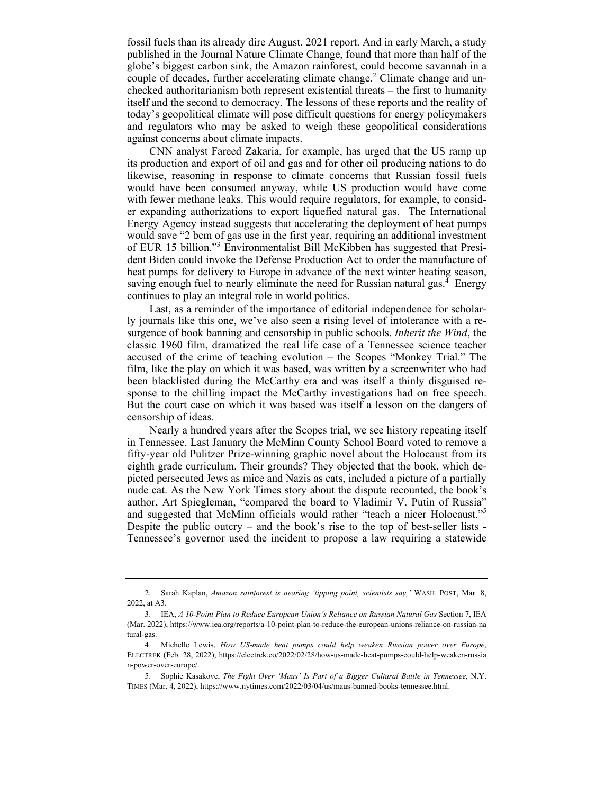fossil fuels than its already dire August, 2021 report. And in early March, a study published in the Journal Nature Climate Change, found that more than half of the globe's biggest carbon sink, the Amazon rainforest, could become savannah in a couple of decades, further accelerating climate change.<sup>2</sup> Climate change and unchecked authoritarianism both represent existential threats – the first to humanity itself and the second to democracy. The lessons of these reports and the reality of today's geopolitical climate will pose difficult questions for energy policymakers and regulators who may be asked to weigh these geopolitical considerations against concerns about climate impacts.

CNN analyst Fareed Zakaria, for example, has urged that the US ramp up its production and export of oil and gas and for other oil producing nations to do likewise, reasoning in response to climate concerns that Russian fossil fuels would have been consumed anyway, while US production would have come with fewer methane leaks. This would require regulators, for example, to consider expanding authorizations to export liquefied natural gas. The International Energy Agency instead suggests that accelerating the deployment of heat pumps would save "2 bcm of gas use in the first year, requiring an additional investment of EUR 15 billion."3 Environmentalist Bill McKibben has suggested that President Biden could invoke the Defense Production Act to order the manufacture of heat pumps for delivery to Europe in advance of the next winter heating season, saving enough fuel to nearly eliminate the need for Russian natural gas.<sup> $4$ </sup> Energy continues to play an integral role in world politics.

Last, as a reminder of the importance of editorial independence for scholarly journals like this one, we've also seen a rising level of intolerance with a resurgence of book banning and censorship in public schools. *Inherit the Wind*, the classic 1960 film, dramatized the real life case of a Tennessee science teacher accused of the crime of teaching evolution – the Scopes "Monkey Trial." The film, like the play on which it was based, was written by a screenwriter who had been blacklisted during the McCarthy era and was itself a thinly disguised response to the chilling impact the McCarthy investigations had on free speech. But the court case on which it was based was itself a lesson on the dangers of censorship of ideas.

Nearly a hundred years after the Scopes trial, we see history repeating itself in Tennessee. Last January the McMinn County School Board voted to remove a fifty-year old Pulitzer Prize-winning graphic novel about the Holocaust from its eighth grade curriculum. Their grounds? They objected that the book, which depicted persecuted Jews as mice and Nazis as cats, included a picture of a partially nude cat. As the New York Times story about the dispute recounted, the book's author, Art Spiegleman, "compared the board to Vladimir V. Putin of Russia" and suggested that McMinn officials would rather "teach a nicer Holocaust."5 Despite the public outcry – and the book's rise to the top of best-seller lists - Tennessee's governor used the incident to propose a law requiring a statewide

 <sup>2.</sup> Sarah Kaplan, *Amazon rainforest is nearing 'tipping point, scientists say,'* WASH. POST, Mar. 8, 2022, at A3.

 <sup>3.</sup> IEA, *A 10-Point Plan to Reduce European Union's Reliance on Russian Natural Gas* Section 7, IEA (Mar. 2022), https://www.iea.org/reports/a-10-point-plan-to-reduce-the-european-unions-reliance-on-russian-na tural-gas.

 <sup>4.</sup> Michelle Lewis, *How US-made heat pumps could help weaken Russian power over Europe*, ELECTREK (Feb. 28, 2022), https://electrek.co/2022/02/28/how-us-made-heat-pumps-could-help-weaken-russia n-power-over-europe/.

 <sup>5.</sup> Sophie Kasakove, *The Fight Over 'Maus' Is Part of a Bigger Cultural Battle in Tennessee*, N.Y. TIMES (Mar. 4, 2022), https://www.nytimes.com/2022/03/04/us/maus-banned-books-tennessee.html.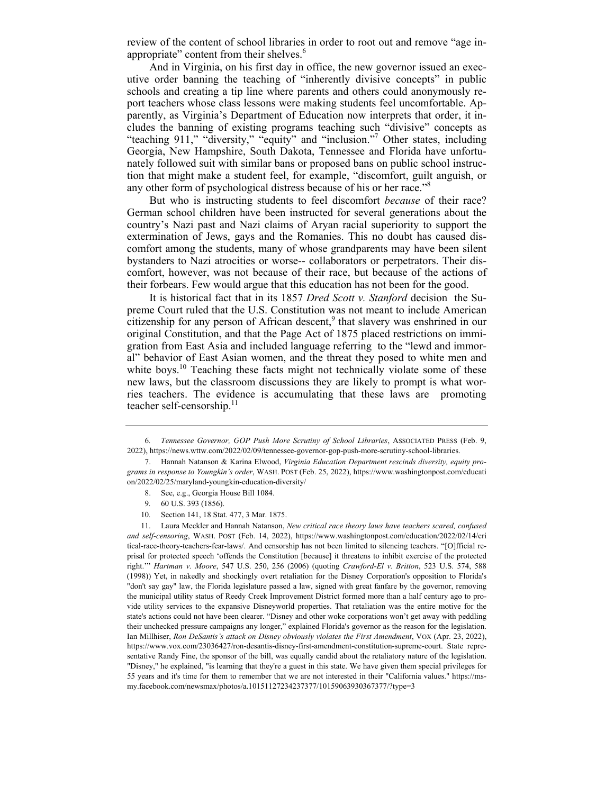review of the content of school libraries in order to root out and remove "age inappropriate" content from their shelves.<sup>6</sup>

And in Virginia, on his first day in office, the new governor issued an executive order banning the teaching of "inherently divisive concepts" in public schools and creating a tip line where parents and others could anonymously report teachers whose class lessons were making students feel uncomfortable. Apparently, as Virginia's Department of Education now interprets that order, it includes the banning of existing programs teaching such "divisive" concepts as "teaching 911," "diversity," "equity" and "inclusion."<sup>7</sup> Other states, including Georgia, New Hampshire, South Dakota, Tennessee and Florida have unfortunately followed suit with similar bans or proposed bans on public school instruction that might make a student feel, for example, "discomfort, guilt anguish, or any other form of psychological distress because of his or her race."<sup>8</sup>

But who is instructing students to feel discomfort *because* of their race? German school children have been instructed for several generations about the country's Nazi past and Nazi claims of Aryan racial superiority to support the extermination of Jews, gays and the Romanies. This no doubt has caused discomfort among the students, many of whose grandparents may have been silent bystanders to Nazi atrocities or worse-- collaborators or perpetrators. Their discomfort, however, was not because of their race, but because of the actions of their forbears. Few would argue that this education has not been for the good.

It is historical fact that in its 1857 *Dred Scott v. Stanford* decision the Supreme Court ruled that the U.S. Constitution was not meant to include American  $\tilde{c}$  itizenship for any person of African descent,<sup>9</sup> that slavery was enshrined in our original Constitution, and that the Page Act of 1875 placed restrictions on immigration from East Asia and included language referring to the "lewd and immoral" behavior of East Asian women, and the threat they posed to white men and white boys.<sup>10</sup> Teaching these facts might not technically violate some of these new laws, but the classroom discussions they are likely to prompt is what worries teachers. The evidence is accumulating that these laws are promoting teacher self-censorship.<sup>11</sup>

- 8. See, e.g., Georgia House Bill 1084.
- 9*.* 60 U.S. 393 (1856).
- 10*.* Section 141, 18 Stat. 477, 3 Mar. 1875.

 11. Laura Meckler and Hannah Natanson, *New critical race theory laws have teachers scared, confused and self-censoring*, WASH. POST (Feb. 14, 2022), https://www.washingtonpost.com/education/2022/02/14/cri tical-race-theory-teachers-fear-laws/. And censorship has not been limited to silencing teachers. "[O]fficial reprisal for protected speech 'offends the Constitution [because] it threatens to inhibit exercise of the protected right.'" *Hartman v. Moore*, 547 U.S. 250, 256 (2006) (quoting *Crawford-El v. Britton*, 523 U.S. 574, 588 (1998)) Yet, in nakedly and shockingly overt retaliation for the Disney Corporation's opposition to Florida's "don't say gay" law, the Florida legislature passed a law, signed with great fanfare by the governor, removing the municipal utility status of Reedy Creek Improvement District formed more than a half century ago to provide utility services to the expansive Disneyworld properties. That retaliation was the entire motive for the state's actions could not have been clearer. "Disney and other woke corporations won't get away with peddling their unchecked pressure campaigns any longer," explained Florida's governor as the reason for the legislation. Ian Millhiser, Ron DeSantis's attack on Disney obviously violates the First Amendment, VOX (Apr. 23, 2022), https://www.vox.com/23036427/ron-desantis-disney-first-amendment-constitution-supreme-court. State representative Randy Fine, the sponsor of the bill, was equally candid about the retaliatory nature of the legislation. "Disney," he explained, "is learning that they're a guest in this state. We have given them special privileges for 55 years and it's time for them to remember that we are not interested in their "California values." https://msmy.facebook.com/newsmax/photos/a.10151127234237377/10159063930367377/?type=3

<sup>6</sup>*. Tennessee Governor, GOP Push More Scrutiny of School Libraries*, ASSOCIATED PRESS (Feb. 9, 2022), https://news.wttw.com/2022/02/09/tennessee-governor-gop-push-more-scrutiny-school-libraries.

 <sup>7.</sup> Hannah Natanson & Karina Elwood, *Virginia Education Department rescinds diversity, equity programs in response to Youngkin's order*, WASH. POST (Feb. 25, 2022), https://www.washingtonpost.com/educati on/2022/02/25/maryland-youngkin-education-diversity/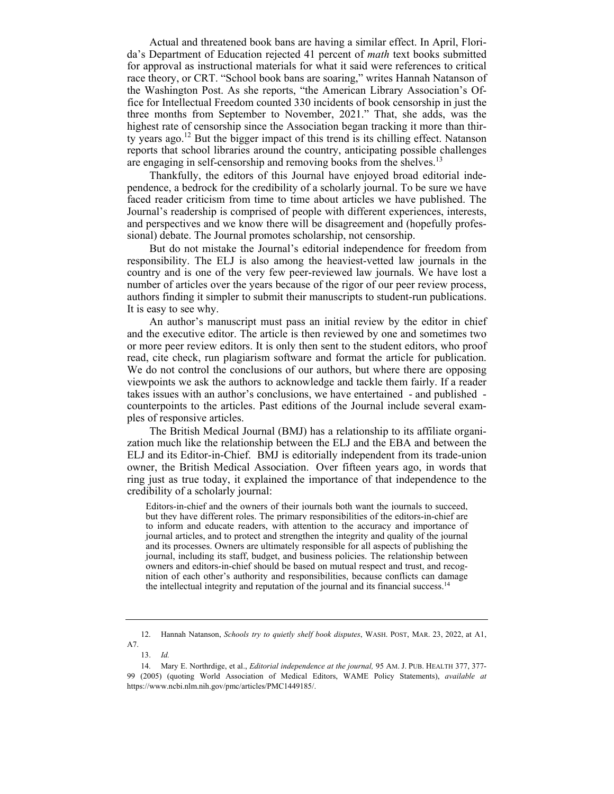Actual and threatened book bans are having a similar effect. In April, Florida's Department of Education rejected 41 percent of *math* text books submitted for approval as instructional materials for what it said were references to critical race theory, or CRT. "School book bans are soaring," writes Hannah Natanson of the Washington Post. As she reports, "the American Library Association's Office for Intellectual Freedom counted 330 incidents of book censorship in just the three months from September to November, 2021." That, she adds, was the highest rate of censorship since the Association began tracking it more than thirty years ago.12 But the bigger impact of this trend is its chilling effect. Natanson reports that school libraries around the country, anticipating possible challenges are engaging in self-censorship and removing books from the shelves.<sup>13</sup>

Thankfully, the editors of this Journal have enjoyed broad editorial independence, a bedrock for the credibility of a scholarly journal. To be sure we have faced reader criticism from time to time about articles we have published. The Journal's readership is comprised of people with different experiences, interests, and perspectives and we know there will be disagreement and (hopefully professional) debate. The Journal promotes scholarship, not censorship.

But do not mistake the Journal's editorial independence for freedom from responsibility. The ELJ is also among the heaviest-vetted law journals in the country and is one of the very few peer-reviewed law journals. We have lost a number of articles over the years because of the rigor of our peer review process, authors finding it simpler to submit their manuscripts to student-run publications. It is easy to see why.

An author's manuscript must pass an initial review by the editor in chief and the executive editor. The article is then reviewed by one and sometimes two or more peer review editors. It is only then sent to the student editors, who proof read, cite check, run plagiarism software and format the article for publication. We do not control the conclusions of our authors, but where there are opposing viewpoints we ask the authors to acknowledge and tackle them fairly. If a reader takes issues with an author's conclusions, we have entertained - and published counterpoints to the articles. Past editions of the Journal include several examples of responsive articles.

The British Medical Journal (BMJ) has a relationship to its affiliate organization much like the relationship between the ELJ and the EBA and between the ELJ and its Editor-in-Chief. BMJ is editorially independent from its trade-union owner, the British Medical Association. Over fifteen years ago, in words that ring just as true today, it explained the importance of that independence to the credibility of a scholarly journal:

Editors-in-chief and the owners of their journals both want the journals to succeed, but they have different roles. The primary responsibilities of the editors-in-chief are to inform and educate readers, with attention to the accuracy and importance of journal articles, and to protect and strengthen the integrity and quality of the journal and its processes. Owners are ultimately responsible for all aspects of publishing the journal, including its staff, budget, and business policies. The relationship between owners and editors-in-chief should be based on mutual respect and trust, and recognition of each other's authority and responsibilities, because conflicts can damage the intellectual integrity and reputation of the journal and its financial success.<sup>14</sup>

 <sup>12.</sup> Hannah Natanson, *Schools try to quietly shelf book disputes*, WASH. POST, MAR. 23, 2022, at A1, A7.

 <sup>13.</sup> *Id.*

 <sup>14.</sup> Mary E. Northrdige, et al., *Editorial independence at the journal,* 95 AM. J. PUB. HEALTH 377, 377- 99 (2005) (quoting World Association of Medical Editors, WAME Policy Statements), *available at* https://www.ncbi.nlm.nih.gov/pmc/articles/PMC1449185/.